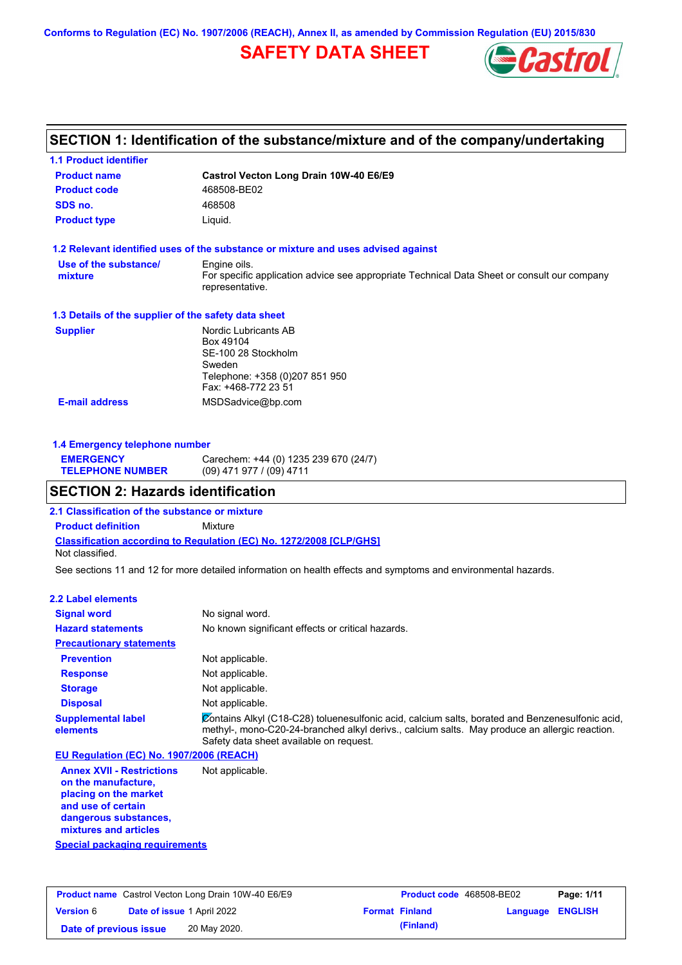**Conforms to Regulation (EC) No. 1907/2006 (REACH), Annex II, as amended by Commission Regulation (EU) 2015/830**

## **SAFETY DATA SHEET**



## **SECTION 1: Identification of the substance/mixture and of the company/undertaking**

| <b>1.1 Product identifier</b>                        |                                                                                                                                |
|------------------------------------------------------|--------------------------------------------------------------------------------------------------------------------------------|
| <b>Product name</b>                                  | Castrol Vecton Long Drain 10W-40 E6/E9                                                                                         |
| <b>Product code</b>                                  | 468508-BE02                                                                                                                    |
| SDS no.                                              | 468508                                                                                                                         |
| <b>Product type</b>                                  | Liquid.                                                                                                                        |
|                                                      | 1.2 Relevant identified uses of the substance or mixture and uses advised against                                              |
| Use of the substance/<br>mixture                     | Engine oils.<br>For specific application advice see appropriate Technical Data Sheet or consult our company<br>representative. |
| 1.3 Details of the supplier of the safety data sheet |                                                                                                                                |
| <b>Supplier</b>                                      | Nordic Lubricants AB<br>Box 49104<br>SE-100 28 Stockholm<br>Sweden<br>Telephone: +358 (0)207 851 950<br>Fax: +468-772 23 51    |
| <b>E-mail address</b>                                | MSDSadvice@bp.com                                                                                                              |

| ОГОТІОН О. ІІА—АнаІа : da mii: a mii a m |                                       |  |
|------------------------------------------|---------------------------------------|--|
| <b>TELEPHONE NUMBER</b>                  | (09) 471 977 / (09) 4711              |  |
| <b>EMERGENCY</b>                         | Carechem: +44 (0) 1235 239 670 (24/7) |  |

### **SECTION 2: Hazards identification**

**2.1 Classification of the substance or mixture**

**1.4 Emergency telephone number**

**Classification according to Regulation (EC) No. 1272/2008 [CLP/GHS] Product definition** Mixture Not classified.

See sections 11 and 12 for more detailed information on health effects and symptoms and environmental hazards.

#### **2.2 Label elements**

| <b>Signal word</b>                       | No signal word.                                                                                                                                                                                                                             |
|------------------------------------------|---------------------------------------------------------------------------------------------------------------------------------------------------------------------------------------------------------------------------------------------|
| <b>Hazard statements</b>                 | No known significant effects or critical hazards.                                                                                                                                                                                           |
| <b>Precautionary statements</b>          |                                                                                                                                                                                                                                             |
| <b>Prevention</b>                        | Not applicable.                                                                                                                                                                                                                             |
| <b>Response</b>                          | Not applicable.                                                                                                                                                                                                                             |
| <b>Storage</b>                           | Not applicable.                                                                                                                                                                                                                             |
| <b>Disposal</b>                          | Not applicable.                                                                                                                                                                                                                             |
| <b>Supplemental label</b><br>elements    | Contains Alkyl (C18-C28) toluenesulfonic acid, calcium salts, borated and Benzenesulfonic acid,<br>methyl-, mono-C20-24-branched alkyl derivs., calcium salts. May produce an allergic reaction.<br>Safety data sheet available on request. |
| EU Regulation (EC) No. 1907/2006 (REACH) |                                                                                                                                                                                                                                             |
| Amper VVIII Decidental                   | Alat annliaahla                                                                                                                                                                                                                             |

**Annex XVII - Restrictions on the manufacture, placing on the market and use of certain dangerous substances, mixtures and articles** Not applicable.

**Special packaging requirements**

| <b>Product name</b> Castrol Vecton Long Drain 10W-40 E6/E9 |                                   | <b>Product code</b> 468508-BE02 |  | Page: 1/11            |                         |  |
|------------------------------------------------------------|-----------------------------------|---------------------------------|--|-----------------------|-------------------------|--|
| <b>Version 6</b>                                           | <b>Date of issue 1 April 2022</b> |                                 |  | <b>Format Finland</b> | <b>Language ENGLISH</b> |  |
| Date of previous issue                                     |                                   | 20 May 2020.                    |  | (Finland)             |                         |  |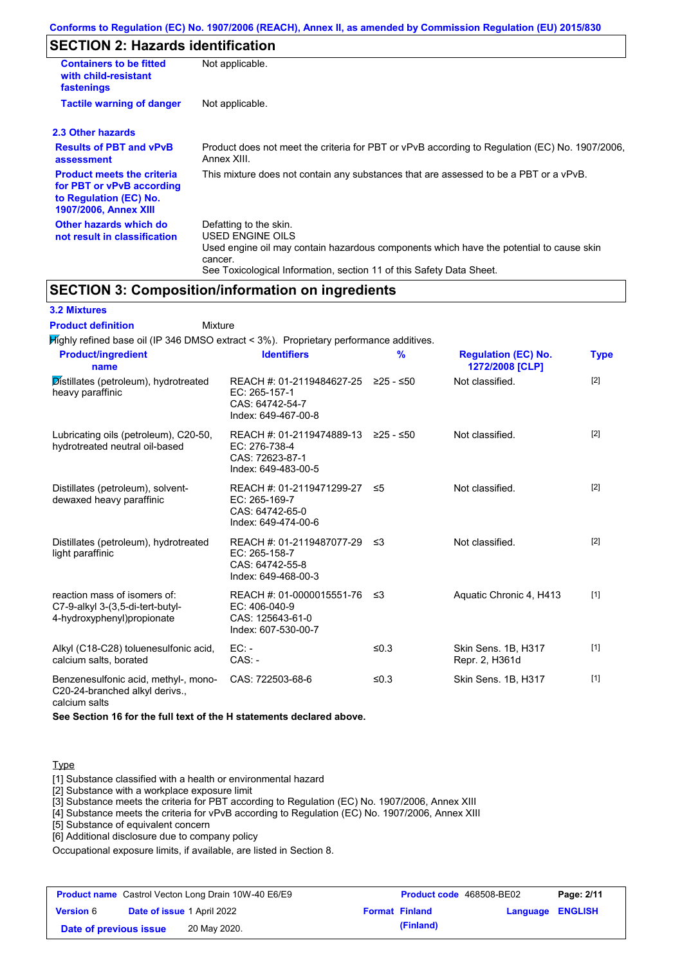## **SECTION 2: Hazards identification**

| <b>Containers to be fitted</b><br>with child-resistant<br>fastenings                                                     | Not applicable.                                                                                                                                                                                                          |  |  |
|--------------------------------------------------------------------------------------------------------------------------|--------------------------------------------------------------------------------------------------------------------------------------------------------------------------------------------------------------------------|--|--|
| <b>Tactile warning of danger</b>                                                                                         | Not applicable.                                                                                                                                                                                                          |  |  |
| 2.3 Other hazards                                                                                                        |                                                                                                                                                                                                                          |  |  |
| <b>Results of PBT and vPvB</b><br>assessment                                                                             | Product does not meet the criteria for PBT or vPvB according to Regulation (EC) No. 1907/2006,<br>Annex XIII.                                                                                                            |  |  |
| <b>Product meets the criteria</b><br>for PBT or vPvB according<br>to Regulation (EC) No.<br><b>1907/2006, Annex XIII</b> | This mixture does not contain any substances that are assessed to be a PBT or a vPvB.                                                                                                                                    |  |  |
| Other hazards which do<br>not result in classification                                                                   | Defatting to the skin.<br>USED ENGINE OILS<br>Used engine oil may contain hazardous components which have the potential to cause skin<br>cancer.<br>See Toxicological Information, section 11 of this Safety Data Sheet. |  |  |

## **SECTION 3: Composition/information on ingredients**

| <b>3.2 Mixtures</b> |  |
|---------------------|--|
|                     |  |

#### Mixture **Product definition**

| Mighly refined base oil (IP 346 DMSO extract < 3%). Proprietary performance additives.         |                                                                                         |               |                                               |             |
|------------------------------------------------------------------------------------------------|-----------------------------------------------------------------------------------------|---------------|-----------------------------------------------|-------------|
| <b>Product/ingredient</b><br>name                                                              | <b>Identifiers</b>                                                                      | $\frac{9}{6}$ | <b>Regulation (EC) No.</b><br>1272/2008 [CLP] | <b>Type</b> |
| Distillates (petroleum), hydrotreated<br>heavy paraffinic                                      | REACH #: 01-2119484627-25<br>EC: 265-157-1<br>CAS: 64742-54-7<br>Index: 649-467-00-8    | $≥25 - ≤50$   | Not classified.                               | $[2]$       |
| Lubricating oils (petroleum), C20-50,<br>hydrotreated neutral oil-based                        | REACH #: 01-2119474889-13<br>EC: 276-738-4<br>CAS: 72623-87-1<br>Index: 649-483-00-5    | ≥25 - ≤50     | Not classified.                               | $[2]$       |
| Distillates (petroleum), solvent-<br>dewaxed heavy paraffinic                                  | REACH #: 01-2119471299-27<br>EC: 265-169-7<br>CAS: 64742-65-0<br>Index: 649-474-00-6    | ≤5            | Not classified.                               | $[2]$       |
| Distillates (petroleum), hydrotreated<br>light paraffinic                                      | REACH #: 01-2119487077-29 ≤3<br>EC: 265-158-7<br>CAS: 64742-55-8<br>Index: 649-468-00-3 |               | Not classified.                               | $[2]$       |
| reaction mass of isomers of:<br>C7-9-alkyl 3-(3,5-di-tert-butyl-<br>4-hydroxyphenyl)propionate | REACH #: 01-0000015551-76<br>EC: 406-040-9<br>CAS: 125643-61-0<br>Index: 607-530-00-7   | - ≤3          | Aquatic Chronic 4, H413                       | $[1]$       |
| Alkyl (C18-C28) toluenesulfonic acid,<br>calcium salts, borated                                | $EC: -$<br>$CAS. -$                                                                     | ≤0.3          | Skin Sens. 1B, H317<br>Repr. 2, H361d         | $[1]$       |
| Benzenesulfonic acid, methyl-, mono-<br>C20-24-branched alkyl derivs.,                         | CAS: 722503-68-6                                                                        | ≤ $0.3$       | Skin Sens. 1B, H317                           | $[1]$       |

calcium salts

**See Section 16 for the full text of the H statements declared above.**

#### **Type**

[1] Substance classified with a health or environmental hazard

[2] Substance with a workplace exposure limit

[3] Substance meets the criteria for PBT according to Regulation (EC) No. 1907/2006, Annex XIII

[4] Substance meets the criteria for vPvB according to Regulation (EC) No. 1907/2006, Annex XIII

[5] Substance of equivalent concern

[6] Additional disclosure due to company policy

Occupational exposure limits, if available, are listed in Section 8.

| <b>Product name</b> Castrol Vecton Long Drain 10W-40 E6/E9 |  | <b>Product code</b> 468508-BE02   |  | Page: 2/11            |                  |  |
|------------------------------------------------------------|--|-----------------------------------|--|-----------------------|------------------|--|
| <b>Version 6</b>                                           |  | <b>Date of issue 1 April 2022</b> |  | <b>Format Finland</b> | Language ENGLISH |  |
| Date of previous issue                                     |  | 20 May 2020.                      |  | (Finland)             |                  |  |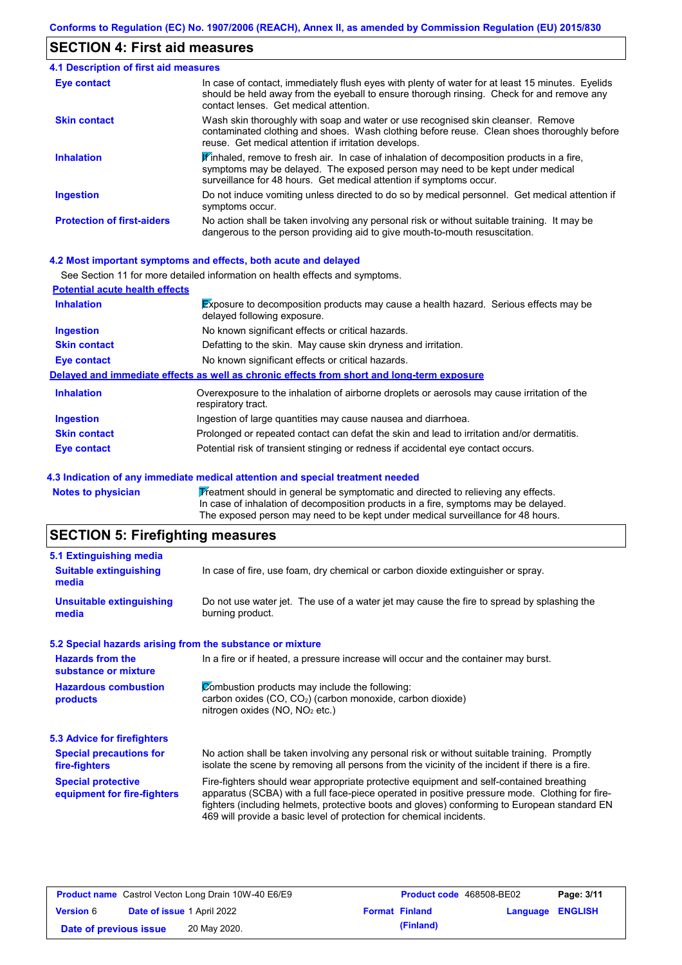### **SECTION 4: First aid measures**

| <b>4.1 Description of first aid measures</b> |                                                                                                                                                                                                                                                               |
|----------------------------------------------|---------------------------------------------------------------------------------------------------------------------------------------------------------------------------------------------------------------------------------------------------------------|
| Eye contact                                  | In case of contact, immediately flush eyes with plenty of water for at least 15 minutes. Eyelids<br>should be held away from the eyeball to ensure thorough rinsing. Check for and remove any<br>contact lenses. Get medical attention.                       |
| <b>Skin contact</b>                          | Wash skin thoroughly with soap and water or use recognised skin cleanser. Remove<br>contaminated clothing and shoes. Wash clothing before reuse. Clean shoes thoroughly before<br>reuse. Get medical attention if irritation develops.                        |
| <b>Inhalation</b>                            | $\mathbf{F}$ inhaled, remove to fresh air. In case of inhalation of decomposition products in a fire,<br>symptoms may be delayed. The exposed person may need to be kept under medical<br>surveillance for 48 hours. Get medical attention if symptoms occur. |
| <b>Ingestion</b>                             | Do not induce vomiting unless directed to do so by medical personnel. Get medical attention if<br>symptoms occur.                                                                                                                                             |
| <b>Protection of first-aiders</b>            | No action shall be taken involving any personal risk or without suitable training. It may be<br>dangerous to the person providing aid to give mouth-to-mouth resuscitation.                                                                                   |

#### **4.2 Most important symptoms and effects, both acute and delayed**

|                                       | See Section 11 for more detailed information on health effects and symptoms.                                               |
|---------------------------------------|----------------------------------------------------------------------------------------------------------------------------|
| <b>Potential acute health effects</b> |                                                                                                                            |
| <b>Inhalation</b>                     | <b>Exposure to decomposition products may cause a health hazard.</b> Serious effects may be<br>delayed following exposure. |
| <b>Ingestion</b>                      | No known significant effects or critical hazards.                                                                          |
| <b>Skin contact</b>                   | Defatting to the skin. May cause skin dryness and irritation.                                                              |
| Eye contact                           | No known significant effects or critical hazards.                                                                          |
|                                       | Delayed and immediate effects as well as chronic effects from short and long-term exposure                                 |
| <b>Inhalation</b>                     | Overexposure to the inhalation of airborne droplets or aerosols may cause irritation of the<br>respiratory tract.          |
| <b>Ingestion</b>                      | Ingestion of large quantities may cause nausea and diarrhoea.                                                              |
| <b>Skin contact</b>                   | Prolonged or repeated contact can defat the skin and lead to irritation and/or dermatitis.                                 |
| Eye contact                           | Potential risk of transient stinging or redness if accidental eye contact occurs.                                          |

### **4.3 Indication of any immediate medical attention and special treatment needed**

| Notes to physician | Treatment should in general be symptomatic and directed to relieving any effects.   |
|--------------------|-------------------------------------------------------------------------------------|
|                    | In case of inhalation of decomposition products in a fire, symptoms may be delayed. |
|                    | The exposed person may need to be kept under medical surveillance for 48 hours.     |

## **SECTION 5: Firefighting measures**

| 5.1 Extinguishing media                                   |                                                                                                                                                                                                                                                                                                                                                                   |
|-----------------------------------------------------------|-------------------------------------------------------------------------------------------------------------------------------------------------------------------------------------------------------------------------------------------------------------------------------------------------------------------------------------------------------------------|
| <b>Suitable extinguishing</b><br>media                    | In case of fire, use foam, dry chemical or carbon dioxide extinguisher or spray.                                                                                                                                                                                                                                                                                  |
| <b>Unsuitable extinguishing</b><br>media                  | Do not use water jet. The use of a water jet may cause the fire to spread by splashing the<br>burning product.                                                                                                                                                                                                                                                    |
| 5.2 Special hazards arising from the substance or mixture |                                                                                                                                                                                                                                                                                                                                                                   |
| <b>Hazards from the</b><br>substance or mixture           | In a fire or if heated, a pressure increase will occur and the container may burst.                                                                                                                                                                                                                                                                               |
| <b>Hazardous combustion</b><br>products                   | Combustion products may include the following:<br>carbon oxides (CO, CO <sub>2</sub> ) (carbon monoxide, carbon dioxide)<br>nitrogen oxides (NO, NO <sub>2</sub> etc.)                                                                                                                                                                                            |
| <b>5.3 Advice for firefighters</b>                        |                                                                                                                                                                                                                                                                                                                                                                   |
| <b>Special precautions for</b><br>fire-fighters           | No action shall be taken involving any personal risk or without suitable training. Promptly<br>isolate the scene by removing all persons from the vicinity of the incident if there is a fire.                                                                                                                                                                    |
| <b>Special protective</b><br>equipment for fire-fighters  | Fire-fighters should wear appropriate protective equipment and self-contained breathing<br>apparatus (SCBA) with a full face-piece operated in positive pressure mode. Clothing for fire-<br>fighters (including helmets, protective boots and gloves) conforming to European standard EN<br>469 will provide a basic level of protection for chemical incidents. |

| <b>Product name</b> Castrol Vecton Long Drain 10W-40 E6/E9 |  |                                   | <b>Product code</b> 468508-BE02 |                         | Page: 3/11 |
|------------------------------------------------------------|--|-----------------------------------|---------------------------------|-------------------------|------------|
| <b>Version 6</b>                                           |  | <b>Date of issue 1 April 2022</b> | <b>Format Finland</b>           | <b>Language ENGLISH</b> |            |
| Date of previous issue                                     |  | 20 May 2020.                      | (Finland)                       |                         |            |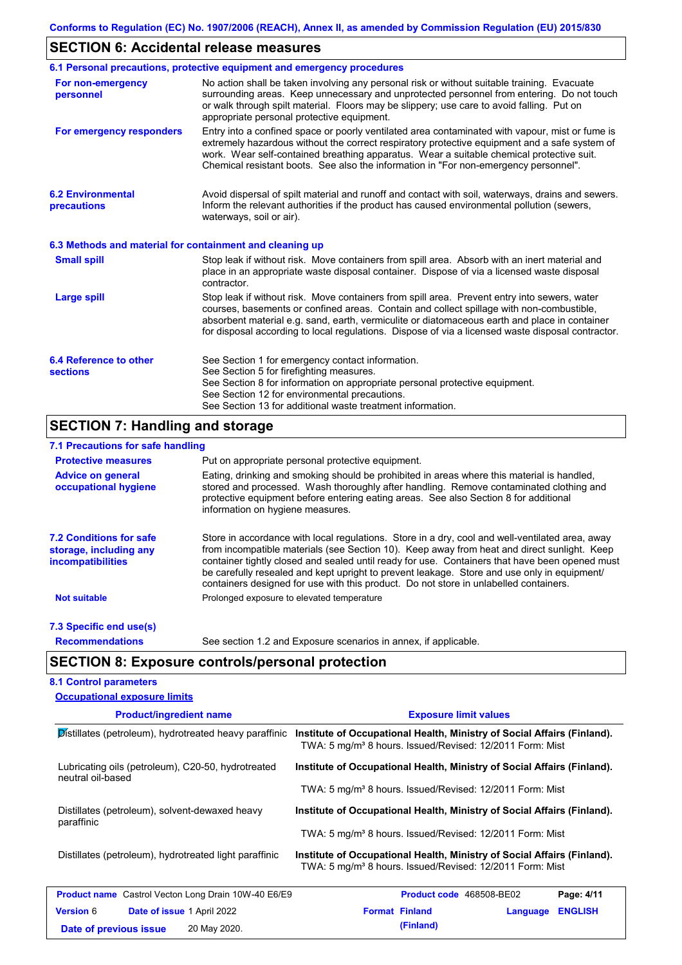## **SECTION 6: Accidental release measures**

|                                                          | 6.1 Personal precautions, protective equipment and emergency procedures                                                                                                                                                                                                                                                                                                                        |
|----------------------------------------------------------|------------------------------------------------------------------------------------------------------------------------------------------------------------------------------------------------------------------------------------------------------------------------------------------------------------------------------------------------------------------------------------------------|
| For non-emergency<br>personnel                           | No action shall be taken involving any personal risk or without suitable training. Evacuate<br>surrounding areas. Keep unnecessary and unprotected personnel from entering. Do not touch<br>or walk through spilt material. Floors may be slippery; use care to avoid falling. Put on<br>appropriate personal protective equipment.                                                            |
| For emergency responders                                 | Entry into a confined space or poorly ventilated area contaminated with vapour, mist or fume is<br>extremely hazardous without the correct respiratory protective equipment and a safe system of<br>work. Wear self-contained breathing apparatus. Wear a suitable chemical protective suit.<br>Chemical resistant boots. See also the information in "For non-emergency personnel".           |
| <b>6.2 Environmental</b><br>precautions                  | Avoid dispersal of spilt material and runoff and contact with soil, waterways, drains and sewers.<br>Inform the relevant authorities if the product has caused environmental pollution (sewers,<br>waterways, soil or air).                                                                                                                                                                    |
| 6.3 Methods and material for containment and cleaning up |                                                                                                                                                                                                                                                                                                                                                                                                |
| <b>Small spill</b>                                       | Stop leak if without risk. Move containers from spill area. Absorb with an inert material and<br>place in an appropriate waste disposal container. Dispose of via a licensed waste disposal<br>contractor.                                                                                                                                                                                     |
| <b>Large spill</b>                                       | Stop leak if without risk. Move containers from spill area. Prevent entry into sewers, water<br>courses, basements or confined areas. Contain and collect spillage with non-combustible,<br>absorbent material e.g. sand, earth, vermiculite or diatomaceous earth and place in container<br>for disposal according to local regulations. Dispose of via a licensed waste disposal contractor. |
| 6.4 Reference to other                                   | See Section 1 for emergency contact information.                                                                                                                                                                                                                                                                                                                                               |
| <b>sections</b>                                          | See Section 5 for firefighting measures.<br>See Section 8 for information on appropriate personal protective equipment.<br>See Section 12 for environmental precautions.<br>See Section 13 for additional waste treatment information.                                                                                                                                                         |
| <b>SECTION 7: Handling and storage</b>                   |                                                                                                                                                                                                                                                                                                                                                                                                |
| 7.1 Precautions for safe handling                        |                                                                                                                                                                                                                                                                                                                                                                                                |
| <b>Protective measures</b>                               | Put on appropriate personal protective equipment.                                                                                                                                                                                                                                                                                                                                              |

| <b>Protective measures</b>                                                           | Put on appropriate personal protective equipment.                                                                                                                                                                                                                                                                                                                                                                                                                                        |  |  |  |  |
|--------------------------------------------------------------------------------------|------------------------------------------------------------------------------------------------------------------------------------------------------------------------------------------------------------------------------------------------------------------------------------------------------------------------------------------------------------------------------------------------------------------------------------------------------------------------------------------|--|--|--|--|
| <b>Advice on general</b><br>occupational hygiene                                     | Eating, drinking and smoking should be prohibited in areas where this material is handled,<br>stored and processed. Wash thoroughly after handling. Remove contaminated clothing and<br>protective equipment before entering eating areas. See also Section 8 for additional<br>information on hygiene measures.                                                                                                                                                                         |  |  |  |  |
| <b>7.2 Conditions for safe</b><br>storage, including any<br><i>incompatibilities</i> | Store in accordance with local requlations. Store in a dry, cool and well-ventilated area, away<br>from incompatible materials (see Section 10). Keep away from heat and direct sunlight. Keep<br>container tightly closed and sealed until ready for use. Containers that have been opened must<br>be carefully resealed and kept upright to prevent leakage. Store and use only in equipment/<br>containers designed for use with this product. Do not store in unlabelled containers. |  |  |  |  |
| <b>Not suitable</b>                                                                  | Prolonged exposure to elevated temperature                                                                                                                                                                                                                                                                                                                                                                                                                                               |  |  |  |  |
| 7.3 Specific end use(s)                                                              |                                                                                                                                                                                                                                                                                                                                                                                                                                                                                          |  |  |  |  |

**Recommendations**

See section 1.2 and Exposure scenarios in annex, if applicable.

## **SECTION 8: Exposure controls/personal protection**

#### **8.1 Control parameters Occupational exposure limits**

| <b>Product/ingredient name</b>                                          | <b>Exposure limit values</b>                                                                                                                    |  |  |  |  |
|-------------------------------------------------------------------------|-------------------------------------------------------------------------------------------------------------------------------------------------|--|--|--|--|
| Distillates (petroleum), hydrotreated heavy paraffinic                  | Institute of Occupational Health, Ministry of Social Affairs (Finland).<br>TWA: 5 mg/m <sup>3</sup> 8 hours. Issued/Revised: 12/2011 Form: Mist |  |  |  |  |
| Lubricating oils (petroleum), C20-50, hydrotreated<br>neutral oil-based | Institute of Occupational Health, Ministry of Social Affairs (Finland).                                                                         |  |  |  |  |
|                                                                         | TWA: 5 mg/m <sup>3</sup> 8 hours. Issued/Revised: 12/2011 Form: Mist                                                                            |  |  |  |  |
| Distillates (petroleum), solvent-dewaxed heavy<br>paraffinic            | Institute of Occupational Health, Ministry of Social Affairs (Finland).                                                                         |  |  |  |  |
|                                                                         | TWA: 5 mg/m <sup>3</sup> 8 hours. Issued/Revised: 12/2011 Form: Mist                                                                            |  |  |  |  |
| Distillates (petroleum), hydrotreated light paraffinic                  | Institute of Occupational Health, Ministry of Social Affairs (Finland).<br>TWA: 5 mg/m <sup>3</sup> 8 hours. Issued/Revised: 12/2011 Form: Mist |  |  |  |  |
| <b>Product name</b> Castrol Vecton Long Drain 10W-40 E6/E9              | <b>Product code</b> 468508-BE02<br>Page: 4/11                                                                                                   |  |  |  |  |
| <b>Version 6</b><br><b>Date of issue 1 April 2022</b>                   | <b>Format Finland</b><br><b>ENGLISH</b><br>Language                                                                                             |  |  |  |  |
| 20 May 2020.<br>Date of previous issue                                  | (Finland)                                                                                                                                       |  |  |  |  |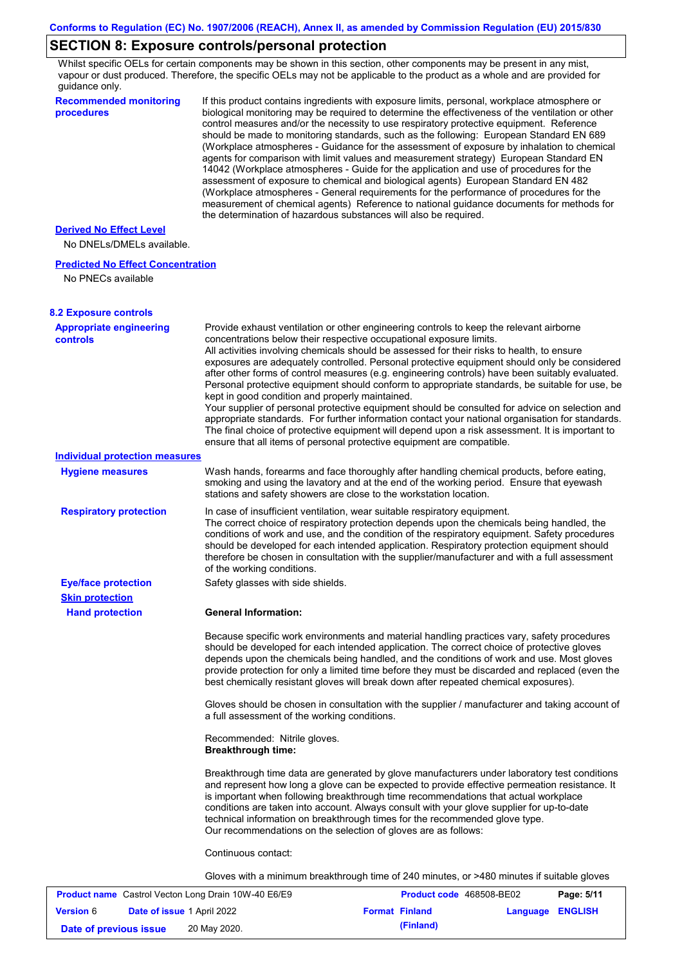## **SECTION 8: Exposure controls/personal protection**

Whilst specific OELs for certain components may be shown in this section, other components may be present in any mist, vapour or dust produced. Therefore, the specific OELs may not be applicable to the product as a whole and are provided for guidance only.

| quiuunoo oniy.<br><b>Recommended monitoring</b><br>procedures  | If this product contains ingredients with exposure limits, personal, workplace atmosphere or<br>biological monitoring may be required to determine the effectiveness of the ventilation or other<br>control measures and/or the necessity to use respiratory protective equipment. Reference<br>should be made to monitoring standards, such as the following: European Standard EN 689<br>(Workplace atmospheres - Guidance for the assessment of exposure by inhalation to chemical<br>agents for comparison with limit values and measurement strategy) European Standard EN<br>14042 (Workplace atmospheres - Guide for the application and use of procedures for the<br>assessment of exposure to chemical and biological agents) European Standard EN 482<br>(Workplace atmospheres - General requirements for the performance of procedures for the<br>measurement of chemical agents) Reference to national guidance documents for methods for<br>the determination of hazardous substances will also be required. |
|----------------------------------------------------------------|----------------------------------------------------------------------------------------------------------------------------------------------------------------------------------------------------------------------------------------------------------------------------------------------------------------------------------------------------------------------------------------------------------------------------------------------------------------------------------------------------------------------------------------------------------------------------------------------------------------------------------------------------------------------------------------------------------------------------------------------------------------------------------------------------------------------------------------------------------------------------------------------------------------------------------------------------------------------------------------------------------------------------|
| <b>Derived No Effect Level</b>                                 |                                                                                                                                                                                                                                                                                                                                                                                                                                                                                                                                                                                                                                                                                                                                                                                                                                                                                                                                                                                                                            |
| No DNELs/DMELs available.                                      |                                                                                                                                                                                                                                                                                                                                                                                                                                                                                                                                                                                                                                                                                                                                                                                                                                                                                                                                                                                                                            |
| <b>Predicted No Effect Concentration</b><br>No PNECs available |                                                                                                                                                                                                                                                                                                                                                                                                                                                                                                                                                                                                                                                                                                                                                                                                                                                                                                                                                                                                                            |
| <b>8.2 Exposure controls</b>                                   |                                                                                                                                                                                                                                                                                                                                                                                                                                                                                                                                                                                                                                                                                                                                                                                                                                                                                                                                                                                                                            |
| <b>Appropriate engineering</b><br><b>controls</b>              | Provide exhaust ventilation or other engineering controls to keep the relevant airborne<br>concentrations below their respective occupational exposure limits.<br>All activities involving chemicals should be assessed for their risks to health, to ensure<br>exposures are adequately controlled. Personal protective equipment should only be considered<br>after other forms of control measures (e.g. engineering controls) have been suitably evaluated.<br>Personal protective equipment should conform to appropriate standards, be suitable for use, be<br>kept in good condition and properly maintained.<br>Your supplier of personal protective equipment should be consulted for advice on selection and<br>appropriate standards. For further information contact your national organisation for standards.<br>The final choice of protective equipment will depend upon a risk assessment. It is important to<br>ensure that all items of personal protective equipment are compatible.                    |
| <b>Individual protection measures</b>                          |                                                                                                                                                                                                                                                                                                                                                                                                                                                                                                                                                                                                                                                                                                                                                                                                                                                                                                                                                                                                                            |
| <b>Hygiene measures</b>                                        | Wash hands, forearms and face thoroughly after handling chemical products, before eating,<br>smoking and using the lavatory and at the end of the working period. Ensure that eyewash<br>stations and safety showers are close to the workstation location.                                                                                                                                                                                                                                                                                                                                                                                                                                                                                                                                                                                                                                                                                                                                                                |
| <b>Respiratory protection</b>                                  | In case of insufficient ventilation, wear suitable respiratory equipment.<br>The correct choice of respiratory protection depends upon the chemicals being handled, the<br>conditions of work and use, and the condition of the respiratory equipment. Safety procedures<br>should be developed for each intended application. Respiratory protection equipment should<br>therefore be chosen in consultation with the supplier/manufacturer and with a full assessment<br>of the working conditions.                                                                                                                                                                                                                                                                                                                                                                                                                                                                                                                      |
| <b>Eye/face protection</b>                                     | Safety glasses with side shields.                                                                                                                                                                                                                                                                                                                                                                                                                                                                                                                                                                                                                                                                                                                                                                                                                                                                                                                                                                                          |
| <b>Skin protection</b>                                         |                                                                                                                                                                                                                                                                                                                                                                                                                                                                                                                                                                                                                                                                                                                                                                                                                                                                                                                                                                                                                            |
| <b>Hand protection</b>                                         | <b>General Information:</b>                                                                                                                                                                                                                                                                                                                                                                                                                                                                                                                                                                                                                                                                                                                                                                                                                                                                                                                                                                                                |
|                                                                | Because specific work environments and material handling practices vary, safety procedures<br>should be developed for each intended application. The correct choice of protective gloves<br>depends upon the chemicals being handled, and the conditions of work and use. Most gloves<br>provide protection for only a limited time before they must be discarded and replaced (even the<br>best chemically resistant gloves will break down after repeated chemical exposures).                                                                                                                                                                                                                                                                                                                                                                                                                                                                                                                                           |
|                                                                | Gloves should be chosen in consultation with the supplier / manufacturer and taking account of<br>a full assessment of the working conditions.                                                                                                                                                                                                                                                                                                                                                                                                                                                                                                                                                                                                                                                                                                                                                                                                                                                                             |
|                                                                | Recommended: Nitrile gloves.<br><b>Breakthrough time:</b>                                                                                                                                                                                                                                                                                                                                                                                                                                                                                                                                                                                                                                                                                                                                                                                                                                                                                                                                                                  |
|                                                                | Breakthrough time data are generated by glove manufacturers under laboratory test conditions<br>and represent how long a glove can be expected to provide effective permeation resistance. It<br>is important when following breakthrough time recommendations that actual workplace<br>conditions are taken into account. Always consult with your glove supplier for up-to-date<br>technical information on breakthrough times for the recommended glove type.<br>Our recommendations on the selection of gloves are as follows:                                                                                                                                                                                                                                                                                                                                                                                                                                                                                         |
|                                                                | Continuous contact:                                                                                                                                                                                                                                                                                                                                                                                                                                                                                                                                                                                                                                                                                                                                                                                                                                                                                                                                                                                                        |
|                                                                | Gloves with a minimum breakthrough time of 240 minutes, or >480 minutes if suitable gloves                                                                                                                                                                                                                                                                                                                                                                                                                                                                                                                                                                                                                                                                                                                                                                                                                                                                                                                                 |
|                                                                |                                                                                                                                                                                                                                                                                                                                                                                                                                                                                                                                                                                                                                                                                                                                                                                                                                                                                                                                                                                                                            |

| <b>Product name</b> Castrol Vecton Long Drain 10W-40 E6/E9 |                                   |              | <b>Product code</b> 468508-BE02 | Page: 5/11              |  |
|------------------------------------------------------------|-----------------------------------|--------------|---------------------------------|-------------------------|--|
| <b>Version 6</b>                                           | <b>Date of issue 1 April 2022</b> |              | <b>Format Finland</b>           | <b>Language ENGLISH</b> |  |
| Date of previous issue                                     |                                   | 20 May 2020. | (Finland)                       |                         |  |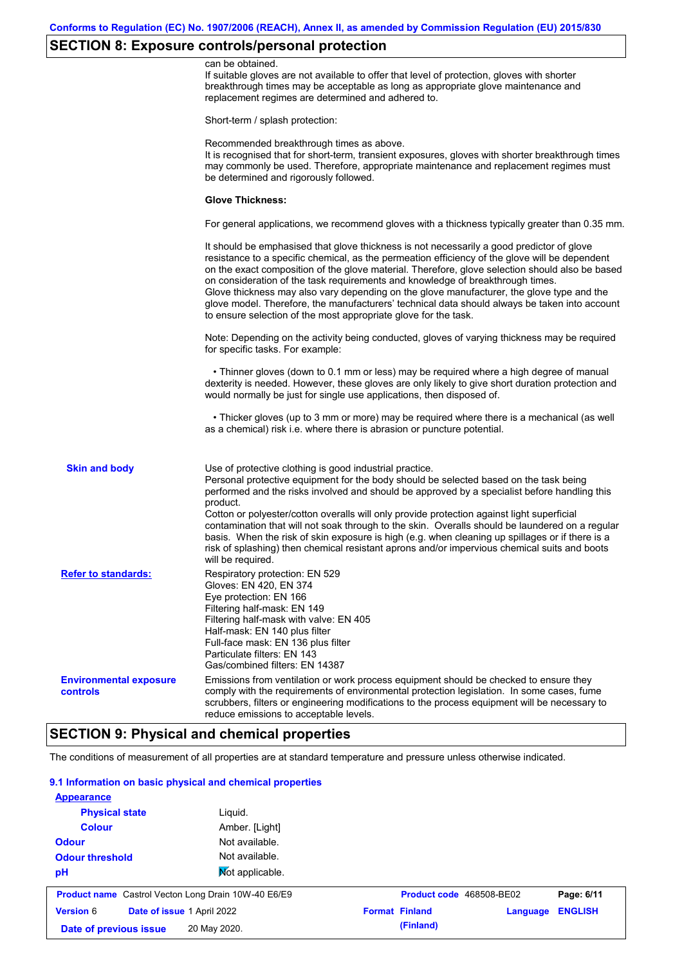## **SECTION 8: Exposure controls/personal protection**

|                                                  | can be obtained.<br>If suitable gloves are not available to offer that level of protection, gloves with shorter<br>breakthrough times may be acceptable as long as appropriate glove maintenance and<br>replacement regimes are determined and adhered to.                                                                                                                                                                                                                                                                                                                                                                                        |
|--------------------------------------------------|---------------------------------------------------------------------------------------------------------------------------------------------------------------------------------------------------------------------------------------------------------------------------------------------------------------------------------------------------------------------------------------------------------------------------------------------------------------------------------------------------------------------------------------------------------------------------------------------------------------------------------------------------|
|                                                  | Short-term / splash protection:                                                                                                                                                                                                                                                                                                                                                                                                                                                                                                                                                                                                                   |
|                                                  | Recommended breakthrough times as above.<br>It is recognised that for short-term, transient exposures, gloves with shorter breakthrough times<br>may commonly be used. Therefore, appropriate maintenance and replacement regimes must<br>be determined and rigorously followed.                                                                                                                                                                                                                                                                                                                                                                  |
|                                                  | <b>Glove Thickness:</b>                                                                                                                                                                                                                                                                                                                                                                                                                                                                                                                                                                                                                           |
|                                                  | For general applications, we recommend gloves with a thickness typically greater than 0.35 mm.                                                                                                                                                                                                                                                                                                                                                                                                                                                                                                                                                    |
|                                                  | It should be emphasised that glove thickness is not necessarily a good predictor of glove<br>resistance to a specific chemical, as the permeation efficiency of the glove will be dependent<br>on the exact composition of the glove material. Therefore, glove selection should also be based<br>on consideration of the task requirements and knowledge of breakthrough times.<br>Glove thickness may also vary depending on the glove manufacturer, the glove type and the<br>glove model. Therefore, the manufacturers' technical data should always be taken into account<br>to ensure selection of the most appropriate glove for the task. |
|                                                  | Note: Depending on the activity being conducted, gloves of varying thickness may be required<br>for specific tasks. For example:                                                                                                                                                                                                                                                                                                                                                                                                                                                                                                                  |
|                                                  | • Thinner gloves (down to 0.1 mm or less) may be required where a high degree of manual<br>dexterity is needed. However, these gloves are only likely to give short duration protection and<br>would normally be just for single use applications, then disposed of.                                                                                                                                                                                                                                                                                                                                                                              |
|                                                  | • Thicker gloves (up to 3 mm or more) may be required where there is a mechanical (as well<br>as a chemical) risk i.e. where there is abrasion or puncture potential.                                                                                                                                                                                                                                                                                                                                                                                                                                                                             |
| <b>Skin and body</b>                             | Use of protective clothing is good industrial practice.<br>Personal protective equipment for the body should be selected based on the task being<br>performed and the risks involved and should be approved by a specialist before handling this<br>product.<br>Cotton or polyester/cotton overalls will only provide protection against light superficial                                                                                                                                                                                                                                                                                        |
|                                                  | contamination that will not soak through to the skin. Overalls should be laundered on a regular<br>basis. When the risk of skin exposure is high (e.g. when cleaning up spillages or if there is a<br>risk of splashing) then chemical resistant aprons and/or impervious chemical suits and boots<br>will be required.                                                                                                                                                                                                                                                                                                                           |
| <b>Refer to standards:</b>                       | Respiratory protection: EN 529<br>Gloves: EN 420, EN 374<br>Eye protection: EN 166<br>Filtering half-mask: EN 149<br>Filtering half-mask with valve: EN 405<br>Half-mask: EN 140 plus filter<br>Full-face mask: EN 136 plus filter<br>Particulate filters: EN 143<br>Gas/combined filters: EN 14387                                                                                                                                                                                                                                                                                                                                               |
| <b>Environmental exposure</b><br><b>controls</b> | Emissions from ventilation or work process equipment should be checked to ensure they<br>comply with the requirements of environmental protection legislation. In some cases, fume<br>scrubbers, filters or engineering modifications to the process equipment will be necessary to<br>reduce emissions to acceptable levels.                                                                                                                                                                                                                                                                                                                     |

## **SECTION 9: Physical and chemical properties**

The conditions of measurement of all properties are at standard temperature and pressure unless otherwise indicated.

### **9.1 Information on basic physical and chemical properties**

| <b>Appearance</b>                                          |                            |                          |          |                |
|------------------------------------------------------------|----------------------------|--------------------------|----------|----------------|
| <b>Physical state</b>                                      | Liguid.                    |                          |          |                |
| <b>Colour</b>                                              | Amber. [Light]             |                          |          |                |
| <b>Odour</b>                                               | Not available.             |                          |          |                |
| <b>Odour threshold</b>                                     | Not available.             |                          |          |                |
| pH                                                         | Mot applicable.            |                          |          |                |
| <b>Product name</b> Castrol Vecton Long Drain 10W-40 E6/E9 |                            | Product code 468508-BE02 |          | Page: 6/11     |
| <b>Version 6</b>                                           | Date of issue 1 April 2022 | <b>Format Finland</b>    | Language | <b>ENGLISH</b> |
| Date of previous issue                                     | 20 May 2020.               | (Finland)                |          |                |
|                                                            |                            |                          |          |                |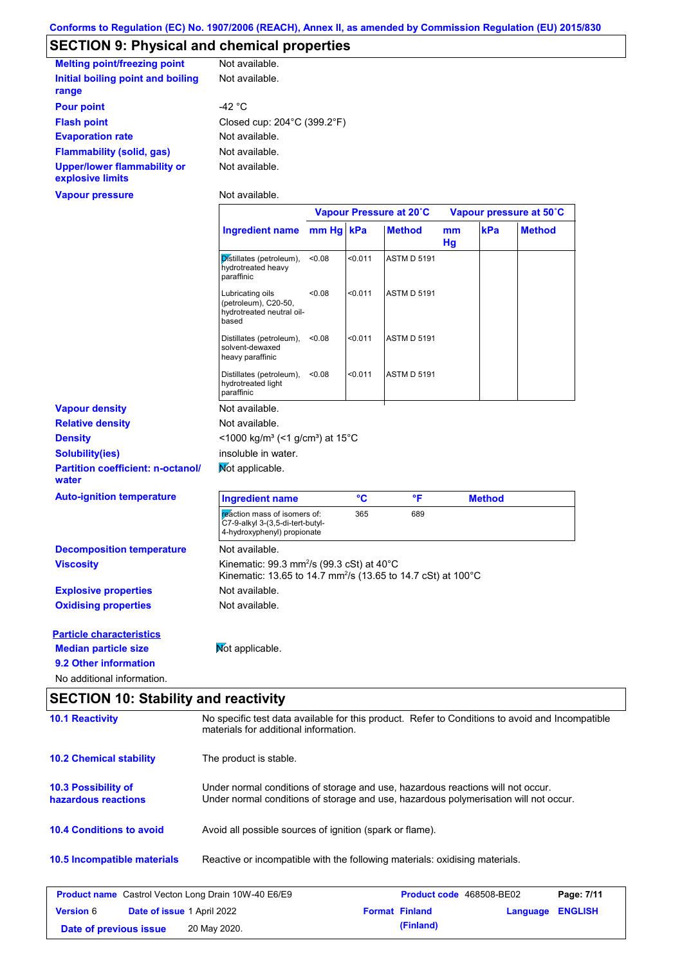## **SECTION 9: Physical and chemical properties**

| <b>Melting point/freezing point</b>                    | Not available.                                   |
|--------------------------------------------------------|--------------------------------------------------|
| Initial boiling point and boiling<br>range             | Not available.                                   |
| <b>Pour point</b>                                      | -42 °C                                           |
| <b>Flash point</b>                                     | Closed cup: $204^{\circ}$ C (399.2 $^{\circ}$ F) |
| <b>Evaporation rate</b>                                | Not available.                                   |
| Flammability (solid, gas)                              | Not available.                                   |
| <b>Upper/lower flammability or</b><br>explosive limits | Not available.                                   |
| Vapour pressure                                        | Not available.                                   |

|                                                   |                                                                                                                                                  | Vapour Pressure at 20°C |         | Vapour pressure at 50°C |          |               |               |
|---------------------------------------------------|--------------------------------------------------------------------------------------------------------------------------------------------------|-------------------------|---------|-------------------------|----------|---------------|---------------|
|                                                   | <b>Ingredient name</b>                                                                                                                           | $mm Hg$ kPa             |         | <b>Method</b>           | mm<br>Hg | kPa           | <b>Method</b> |
|                                                   | Distillates (petroleum),<br>hydrotreated heavy<br>paraffinic                                                                                     | <0.08                   | < 0.011 | <b>ASTM D 5191</b>      |          |               |               |
|                                                   | Lubricating oils<br>(petroleum), C20-50,<br>hydrotreated neutral oil-<br>based                                                                   | < 0.08                  | < 0.011 | <b>ASTM D 5191</b>      |          |               |               |
|                                                   | Distillates (petroleum),<br>solvent-dewaxed<br>heavy paraffinic                                                                                  | < 0.08                  | < 0.011 | <b>ASTM D 5191</b>      |          |               |               |
|                                                   | Distillates (petroleum),<br>hydrotreated light<br>paraffinic                                                                                     | < 0.08                  | < 0.011 | <b>ASTM D 5191</b>      |          |               |               |
| <b>Vapour density</b>                             | Not available.                                                                                                                                   |                         |         |                         |          |               |               |
| <b>Relative density</b>                           | Not available.                                                                                                                                   |                         |         |                         |          |               |               |
| <b>Density</b>                                    | <1000 kg/m <sup>3</sup> (<1 g/cm <sup>3</sup> ) at 15 <sup>°</sup> C                                                                             |                         |         |                         |          |               |               |
| <b>Solubility(ies)</b>                            | insoluble in water.                                                                                                                              |                         |         |                         |          |               |               |
| <b>Partition coefficient: n-octanol/</b><br>water | Mot applicable.                                                                                                                                  |                         |         |                         |          |               |               |
| <b>Auto-ignition temperature</b>                  | <b>Ingredient name</b>                                                                                                                           |                         | °C      | °F                      |          | <b>Method</b> |               |
|                                                   | reaction mass of isomers of:<br>C7-9-alkyl 3-(3,5-di-tert-butyl-<br>4-hydroxyphenyl) propionate                                                  |                         | 365     | 689                     |          |               |               |
| <b>Decomposition temperature</b>                  | Not available.                                                                                                                                   |                         |         |                         |          |               |               |
| <b>Viscosity</b>                                  | Kinematic: $99.3$ mm <sup>2</sup> /s ( $99.3$ cSt) at $40^{\circ}$ C<br>Kinematic: 13.65 to 14.7 mm <sup>2</sup> /s (13.65 to 14.7 cSt) at 100°C |                         |         |                         |          |               |               |
| <b>Explosive properties</b>                       | Not available.                                                                                                                                   |                         |         |                         |          |               |               |
| <b>Oxidising properties</b>                       | Not available.                                                                                                                                   |                         |         |                         |          |               |               |
| <b>Particle characteristics</b>                   |                                                                                                                                                  |                         |         |                         |          |               |               |
| <b>Median particle size</b>                       | Mot applicable.                                                                                                                                  |                         |         |                         |          |               |               |
| 9.2 Other information                             |                                                                                                                                                  |                         |         |                         |          |               |               |
| No additional information.                        |                                                                                                                                                  |                         |         |                         |          |               |               |

## **10.4 Conditions to avoid** Avoid all possible sources of ignition (spark or flame). **10.2 Chemical stability** The product is stable. **10.5 Incompatible materials 10.3 Possibility of hazardous reactions** Under normal conditions of storage and use, hazardous reactions will not occur. Under normal conditions of storage and use, hazardous polymerisation will not occur. **SECTION 10: Stability and reactivity 10.1 Reactivity** No specific test data available for this product. Refer to Conditions to avoid and Incompatible materials for additional information. Reactive or incompatible with the following materials: oxidising materials.

| <b>Product name</b> Castrol Vecton Long Drain 10W-40 E6/E9 |  |              | <b>Product code</b> 468508-BE02 | Page: 7/11            |                         |  |
|------------------------------------------------------------|--|--------------|---------------------------------|-----------------------|-------------------------|--|
| <b>Date of issue 1 April 2022</b><br><b>Version 6</b>      |  |              |                                 | <b>Format Finland</b> | <b>Language ENGLISH</b> |  |
| Date of previous issue                                     |  | 20 May 2020. |                                 | (Finland)             |                         |  |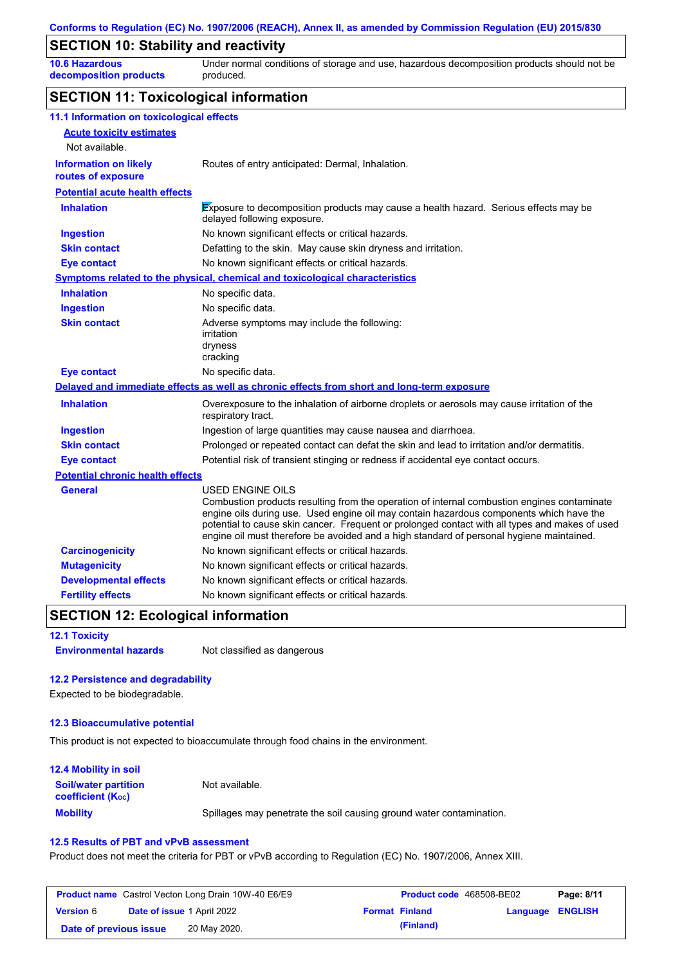### **SECTION 10: Stability and reactivity**

**10.6 Hazardous decomposition products** Under normal conditions of storage and use, hazardous decomposition products should not be produced.

### **SECTION 11: Toxicological information**

| 11.1 Information on toxicological effects          |                                                                                                                                                                                                                                                                                                                                                                                                                 |
|----------------------------------------------------|-----------------------------------------------------------------------------------------------------------------------------------------------------------------------------------------------------------------------------------------------------------------------------------------------------------------------------------------------------------------------------------------------------------------|
| <b>Acute toxicity estimates</b>                    |                                                                                                                                                                                                                                                                                                                                                                                                                 |
| Not available.                                     |                                                                                                                                                                                                                                                                                                                                                                                                                 |
| <b>Information on likely</b><br>routes of exposure | Routes of entry anticipated: Dermal, Inhalation.                                                                                                                                                                                                                                                                                                                                                                |
| <b>Potential acute health effects</b>              |                                                                                                                                                                                                                                                                                                                                                                                                                 |
| <b>Inhalation</b>                                  | Exposure to decomposition products may cause a health hazard. Serious effects may be<br>delayed following exposure.                                                                                                                                                                                                                                                                                             |
| <b>Ingestion</b>                                   | No known significant effects or critical hazards.                                                                                                                                                                                                                                                                                                                                                               |
| <b>Skin contact</b>                                | Defatting to the skin. May cause skin dryness and irritation.                                                                                                                                                                                                                                                                                                                                                   |
| <b>Eye contact</b>                                 | No known significant effects or critical hazards.                                                                                                                                                                                                                                                                                                                                                               |
|                                                    | <b>Symptoms related to the physical, chemical and toxicological characteristics</b>                                                                                                                                                                                                                                                                                                                             |
| <b>Inhalation</b>                                  | No specific data.                                                                                                                                                                                                                                                                                                                                                                                               |
| <b>Ingestion</b>                                   | No specific data.                                                                                                                                                                                                                                                                                                                                                                                               |
| <b>Skin contact</b>                                | Adverse symptoms may include the following:<br>irritation<br>dryness<br>cracking                                                                                                                                                                                                                                                                                                                                |
| <b>Eye contact</b>                                 | No specific data.                                                                                                                                                                                                                                                                                                                                                                                               |
|                                                    | Delayed and immediate effects as well as chronic effects from short and long-term exposure                                                                                                                                                                                                                                                                                                                      |
| <b>Inhalation</b>                                  | Overexposure to the inhalation of airborne droplets or aerosols may cause irritation of the<br>respiratory tract.                                                                                                                                                                                                                                                                                               |
| Ingestion                                          | Ingestion of large quantities may cause nausea and diarrhoea.                                                                                                                                                                                                                                                                                                                                                   |
| <b>Skin contact</b>                                | Prolonged or repeated contact can defat the skin and lead to irritation and/or dermatitis.                                                                                                                                                                                                                                                                                                                      |
| <b>Eye contact</b>                                 | Potential risk of transient stinging or redness if accidental eye contact occurs.                                                                                                                                                                                                                                                                                                                               |
| <b>Potential chronic health effects</b>            |                                                                                                                                                                                                                                                                                                                                                                                                                 |
| <b>General</b>                                     | <b>USED ENGINE OILS</b><br>Combustion products resulting from the operation of internal combustion engines contaminate<br>engine oils during use. Used engine oil may contain hazardous components which have the<br>potential to cause skin cancer. Frequent or prolonged contact with all types and makes of used<br>engine oil must therefore be avoided and a high standard of personal hygiene maintained. |
| <b>Carcinogenicity</b>                             | No known significant effects or critical hazards.                                                                                                                                                                                                                                                                                                                                                               |
| <b>Mutagenicity</b>                                | No known significant effects or critical hazards.                                                                                                                                                                                                                                                                                                                                                               |
| <b>Developmental effects</b>                       | No known significant effects or critical hazards.                                                                                                                                                                                                                                                                                                                                                               |
| <b>Fertility effects</b>                           | No known significant effects or critical hazards.                                                                                                                                                                                                                                                                                                                                                               |

### **SECTION 12: Ecological information**

| <b>12.1 Toxicity</b> |  |
|----------------------|--|
| Environmental heread |  |

**Environmental hazards** Not classified as dangerous

#### **12.2 Persistence and degradability**

Expected to be biodegradable.

#### **12.3 Bioaccumulative potential**

This product is not expected to bioaccumulate through food chains in the environment.

| <b>12.4 Mobility in soil</b>                                  |                                                                      |
|---------------------------------------------------------------|----------------------------------------------------------------------|
| <b>Soil/water partition</b><br>coefficient (K <sub>oc</sub> ) | Not available.                                                       |
| <b>Mobility</b>                                               | Spillages may penetrate the soil causing ground water contamination. |

#### **12.5 Results of PBT and vPvB assessment**

Product does not meet the criteria for PBT or vPvB according to Regulation (EC) No. 1907/2006, Annex XIII.

| <b>Product name</b> Castrol Vecton Long Drain 10W-40 E6/E9 |                                   |              | Product code 468508-BE02 |                       | Page: 8/11       |  |
|------------------------------------------------------------|-----------------------------------|--------------|--------------------------|-----------------------|------------------|--|
| <b>Version 6</b>                                           | <b>Date of issue 1 April 2022</b> |              |                          | <b>Format Finland</b> | Language ENGLISH |  |
| Date of previous issue                                     |                                   | 20 May 2020. |                          | (Finland)             |                  |  |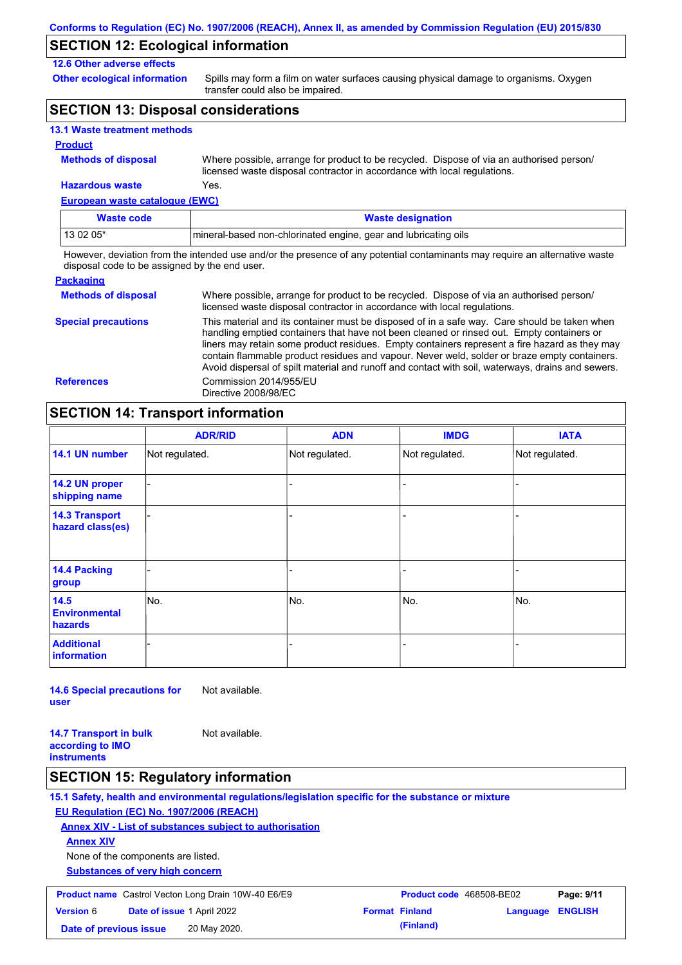### **SECTION 12: Ecological information**

#### **12.6 Other adverse effects**

**Other ecological information**

Spills may form a film on water surfaces causing physical damage to organisms. Oxygen transfer could also be impaired.

## **SECTION 13: Disposal considerations**

| <b>13.1 Waste treatment methods</b> |  |  |
|-------------------------------------|--|--|
|-------------------------------------|--|--|

#### **Product**

**Methods of disposal**

Where possible, arrange for product to be recycled. Dispose of via an authorised person/ licensed waste disposal contractor in accordance with local regulations.

**European waste catalogue (EWC) Hazardous waste** Yes.

| Waste code | <b>Waste designation</b>                                        |
|------------|-----------------------------------------------------------------|
| 13 02 05*  | mineral-based non-chlorinated engine, gear and lubricating oils |

However, deviation from the intended use and/or the presence of any potential contaminants may require an alternative waste disposal code to be assigned by the end user.

| <b>Packaging</b>           |                                                                                                                                                                                                                                                                                                                                                                                                                                                                                                 |
|----------------------------|-------------------------------------------------------------------------------------------------------------------------------------------------------------------------------------------------------------------------------------------------------------------------------------------------------------------------------------------------------------------------------------------------------------------------------------------------------------------------------------------------|
| <b>Methods of disposal</b> | Where possible, arrange for product to be recycled. Dispose of via an authorised person/<br>licensed waste disposal contractor in accordance with local regulations.                                                                                                                                                                                                                                                                                                                            |
| <b>Special precautions</b> | This material and its container must be disposed of in a safe way. Care should be taken when<br>handling emptied containers that have not been cleaned or rinsed out. Empty containers or<br>liners may retain some product residues. Empty containers represent a fire hazard as they may<br>contain flammable product residues and vapour. Never weld, solder or braze empty containers.<br>Avoid dispersal of spilt material and runoff and contact with soil, waterways, drains and sewers. |
| <b>References</b>          | Commission 2014/955/EU<br>Directive 2008/98/EC                                                                                                                                                                                                                                                                                                                                                                                                                                                  |

## **SECTION 14: Transport information**

|                                                | <b>ADR/RID</b> | <b>ADN</b>     | <b>IMDG</b>    | <b>IATA</b>    |
|------------------------------------------------|----------------|----------------|----------------|----------------|
| 14.1 UN number                                 | Not regulated. | Not regulated. | Not regulated. | Not regulated. |
| 14.2 UN proper<br>shipping name                |                |                |                |                |
| <b>14.3 Transport</b><br>hazard class(es)      |                |                |                |                |
| 14.4 Packing<br>group                          |                |                |                |                |
| 14.5<br><b>Environmental</b><br><b>hazards</b> | No.            | No.            | No.            | No.            |
| <b>Additional</b><br>information               |                |                |                |                |

**14.6 Special precautions for user** Not available.

**14.7 Transport in bulk according to IMO instruments** Not available.

### **SECTION 15: Regulatory information**

**15.1 Safety, health and environmental regulations/legislation specific for the substance or mixture EU Regulation (EC) No. 1907/2006 (REACH)**

**Annex XIV - List of substances subject to authorisation**

**Annex XIV**

None of the components are listed.

**Substances of very high concern**

| <b>Product name</b> Castrol Vecton Long Drain 10W-40 E6/E9 |                                   |              | <b>Product code</b> 468508-BE02 |                       | Page: 9/11              |  |
|------------------------------------------------------------|-----------------------------------|--------------|---------------------------------|-----------------------|-------------------------|--|
| <b>Version 6</b>                                           | <b>Date of issue 1 April 2022</b> |              |                                 | <b>Format Finland</b> | <b>Language ENGLISH</b> |  |
| Date of previous issue                                     |                                   | 20 May 2020. |                                 | (Finland)             |                         |  |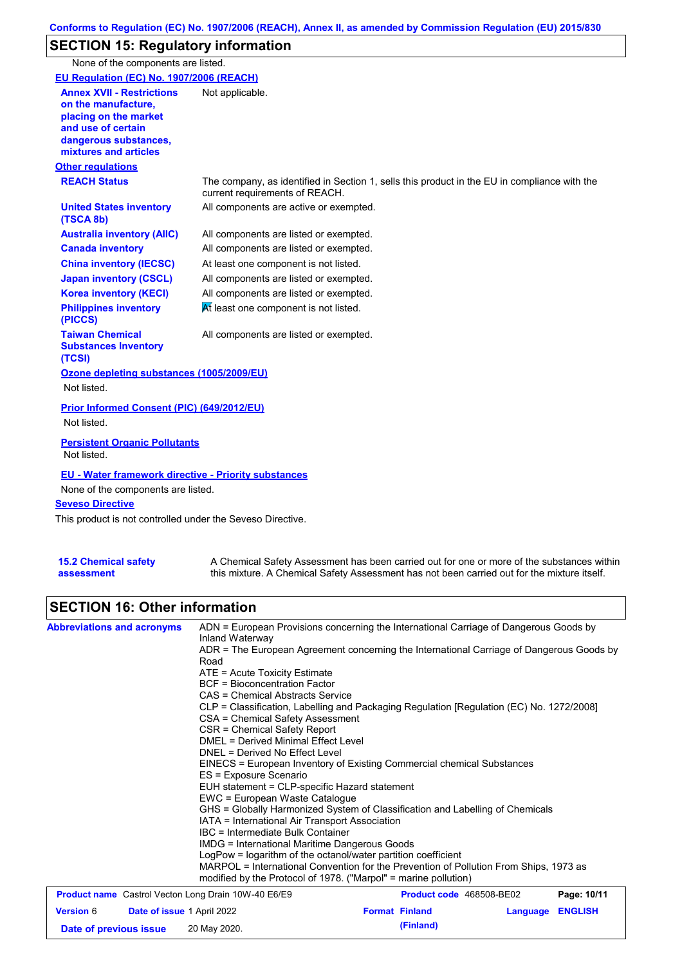## **SECTION 15: Regulatory information**

None of the components are listed.

| EU Regulation (EC) No. 1907/2006 (REACH)                                                                                                                 |                                                                                                                                |
|----------------------------------------------------------------------------------------------------------------------------------------------------------|--------------------------------------------------------------------------------------------------------------------------------|
| <b>Annex XVII - Restrictions</b><br>on the manufacture,<br>placing on the market<br>and use of certain<br>dangerous substances,<br>mixtures and articles | Not applicable.                                                                                                                |
| <b>Other regulations</b>                                                                                                                                 |                                                                                                                                |
| <b>REACH Status</b>                                                                                                                                      | The company, as identified in Section 1, sells this product in the EU in compliance with the<br>current requirements of REACH. |
| <b>United States inventory</b><br>(TSCA 8b)                                                                                                              | All components are active or exempted.                                                                                         |
| <b>Australia inventory (AIIC)</b>                                                                                                                        | All components are listed or exempted.                                                                                         |
| <b>Canada inventory</b>                                                                                                                                  | All components are listed or exempted.                                                                                         |
| <b>China inventory (IECSC)</b>                                                                                                                           | At least one component is not listed.                                                                                          |
| <b>Japan inventory (CSCL)</b>                                                                                                                            | All components are listed or exempted.                                                                                         |
| <b>Korea inventory (KECI)</b>                                                                                                                            | All components are listed or exempted.                                                                                         |
| <b>Philippines inventory</b><br>(PICCS)                                                                                                                  | At least one component is not listed.                                                                                          |
| <b>Taiwan Chemical</b><br><b>Substances Inventory</b><br>(TCSI)                                                                                          | All components are listed or exempted.                                                                                         |
| Ozone depleting substances (1005/2009/EU)<br>Not listed.                                                                                                 |                                                                                                                                |
| Prior Informed Consent (PIC) (649/2012/EU)<br>Not listed.                                                                                                |                                                                                                                                |
| <b>Persistent Organic Pollutants</b><br>Not listed.                                                                                                      |                                                                                                                                |
| <b>EU - Water framework directive - Priority substances</b><br>None of the components are listed.<br><b>Seveso Directive</b>                             |                                                                                                                                |
| This product is not controlled under the Seveso Directive.                                                                                               |                                                                                                                                |

| <b>15.2 Chemical safety</b> | A Chemical Safety Assessment has been carried out for one or more of the substances within  |
|-----------------------------|---------------------------------------------------------------------------------------------|
| assessment                  | this mixture. A Chemical Safety Assessment has not been carried out for the mixture itself. |

# **SECTION 16: Other information**

| <b>Abbreviations and acronyms</b>                          | ADN = European Provisions concerning the International Carriage of Dangerous Goods by<br>Inland Waterway                                                 |                                 |             |  |  |
|------------------------------------------------------------|----------------------------------------------------------------------------------------------------------------------------------------------------------|---------------------------------|-------------|--|--|
|                                                            | ADR = The European Agreement concerning the International Carriage of Dangerous Goods by<br>Road                                                         |                                 |             |  |  |
|                                                            | $ATE = Acute Toxicity Estimate$                                                                                                                          |                                 |             |  |  |
|                                                            | <b>BCF</b> = Bioconcentration Factor                                                                                                                     |                                 |             |  |  |
|                                                            | CAS = Chemical Abstracts Service                                                                                                                         |                                 |             |  |  |
|                                                            | CLP = Classification, Labelling and Packaging Regulation [Regulation (EC) No. 1272/2008]                                                                 |                                 |             |  |  |
|                                                            | CSA = Chemical Safety Assessment                                                                                                                         |                                 |             |  |  |
|                                                            | CSR = Chemical Safety Report                                                                                                                             |                                 |             |  |  |
|                                                            | DMEL = Derived Minimal Effect Level                                                                                                                      |                                 |             |  |  |
|                                                            | DNEL = Derived No Effect Level                                                                                                                           |                                 |             |  |  |
|                                                            | EINECS = European Inventory of Existing Commercial chemical Substances                                                                                   |                                 |             |  |  |
|                                                            | ES = Exposure Scenario                                                                                                                                   |                                 |             |  |  |
|                                                            | EUH statement = CLP-specific Hazard statement                                                                                                            |                                 |             |  |  |
|                                                            | EWC = European Waste Catalogue                                                                                                                           |                                 |             |  |  |
|                                                            | GHS = Globally Harmonized System of Classification and Labelling of Chemicals                                                                            |                                 |             |  |  |
|                                                            | IATA = International Air Transport Association                                                                                                           |                                 |             |  |  |
|                                                            | IBC = Intermediate Bulk Container                                                                                                                        |                                 |             |  |  |
|                                                            | IMDG = International Maritime Dangerous Goods                                                                                                            |                                 |             |  |  |
|                                                            | LogPow = logarithm of the octanol/water partition coefficient                                                                                            |                                 |             |  |  |
|                                                            | MARPOL = International Convention for the Prevention of Pollution From Ships, 1973 as<br>modified by the Protocol of 1978. ("Marpol" = marine pollution) |                                 |             |  |  |
| <b>Product name</b> Castrol Vecton Long Drain 10W-40 E6/E9 |                                                                                                                                                          | <b>Product code</b> 468508-BE02 | Page: 10/11 |  |  |
|                                                            |                                                                                                                                                          |                                 |             |  |  |

|                        |                                   | <b>I Request Hamp</b> Capacor Voctor Long Dram Town 40 Lon Lo | $1.1$ value vous tooloo DEVE |                         | . <b>.</b> |
|------------------------|-----------------------------------|---------------------------------------------------------------|------------------------------|-------------------------|------------|
| <b>Version 6</b>       | <b>Date of issue 1 April 2022</b> |                                                               | <b>Format Finland</b>        | <b>Language ENGLISH</b> |            |
| Date of previous issue |                                   | 20 May 2020.                                                  | (Finland)                    |                         |            |